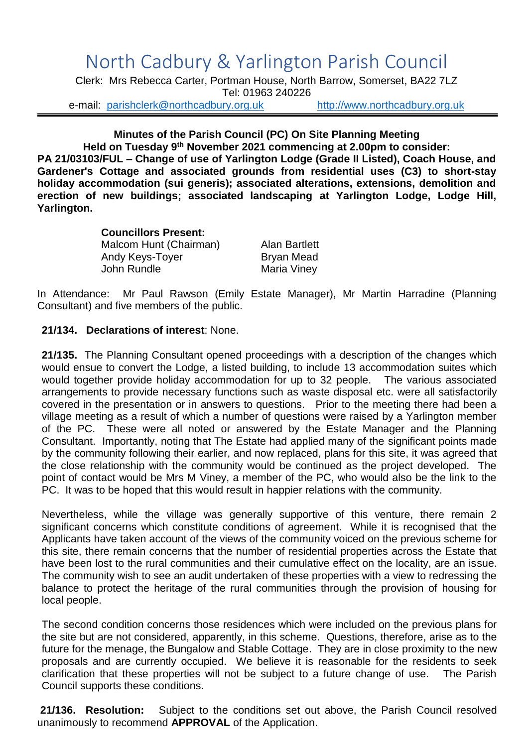## North Cadbury & Yarlington Parish Council

Clerk: Mrs Rebecca Carter, Portman House, North Barrow, Somerset, BA22 7LZ Tel: 01963 240226

e-mail: [parishclerk@northcadbury.org.uk](mailto:parishclerk@northcadbury.org.uk) [http://www.northcadbury.org.uk](http://www.northcadbury.org.uk/)

## **Minutes of the Parish Council (PC) On Site Planning Meeting**

**Held on Tuesday 9 th November 2021 commencing at 2.00pm to consider: PA 21/03103/FUL – Change of use of Yarlington Lodge (Grade II Listed), Coach House, and Gardener's Cottage and associated grounds from residential uses (C3) to short-stay holiday accommodation (sui generis); associated alterations, extensions, demolition and erection of new buildings; associated landscaping at Yarlington Lodge, Lodge Hill, Yarlington.**

## **Councillors Present:**

Malcom Hunt (Chairman) Alan Bartlett Andy Keys-Toyer Bryan Mead<br>John Rundle Bryan Maria Vinev

Maria Viney

In Attendance: Mr Paul Rawson (Emily Estate Manager), Mr Martin Harradine (Planning Consultant) and five members of the public.

## **21/134. Declarations of interest**: None.

**21/135.** The Planning Consultant opened proceedings with a description of the changes which would ensue to convert the Lodge, a listed building, to include 13 accommodation suites which would together provide holiday accommodation for up to 32 people. The various associated arrangements to provide necessary functions such as waste disposal etc. were all satisfactorily covered in the presentation or in answers to questions. Prior to the meeting there had been a village meeting as a result of which a number of questions were raised by a Yarlington member of the PC. These were all noted or answered by the Estate Manager and the Planning Consultant. Importantly, noting that The Estate had applied many of the significant points made by the community following their earlier, and now replaced, plans for this site, it was agreed that the close relationship with the community would be continued as the project developed. The point of contact would be Mrs M Viney, a member of the PC, who would also be the link to the PC. It was to be hoped that this would result in happier relations with the community.

Nevertheless, while the village was generally supportive of this venture, there remain 2 significant concerns which constitute conditions of agreement. While it is recognised that the Applicants have taken account of the views of the community voiced on the previous scheme for this site, there remain concerns that the number of residential properties across the Estate that have been lost to the rural communities and their cumulative effect on the locality, are an issue. The community wish to see an audit undertaken of these properties with a view to redressing the balance to protect the heritage of the rural communities through the provision of housing for local people.

The second condition concerns those residences which were included on the previous plans for the site but are not considered, apparently, in this scheme. Questions, therefore, arise as to the future for the menage, the Bungalow and Stable Cottage. They are in close proximity to the new proposals and are currently occupied. We believe it is reasonable for the residents to seek clarification that these properties will not be subject to a future change of use. The Parish Council supports these conditions.

**21/136. Resolution:** Subject to the conditions set out above, the Parish Council resolved unanimously to recommend **APPROVAL** of the Application.